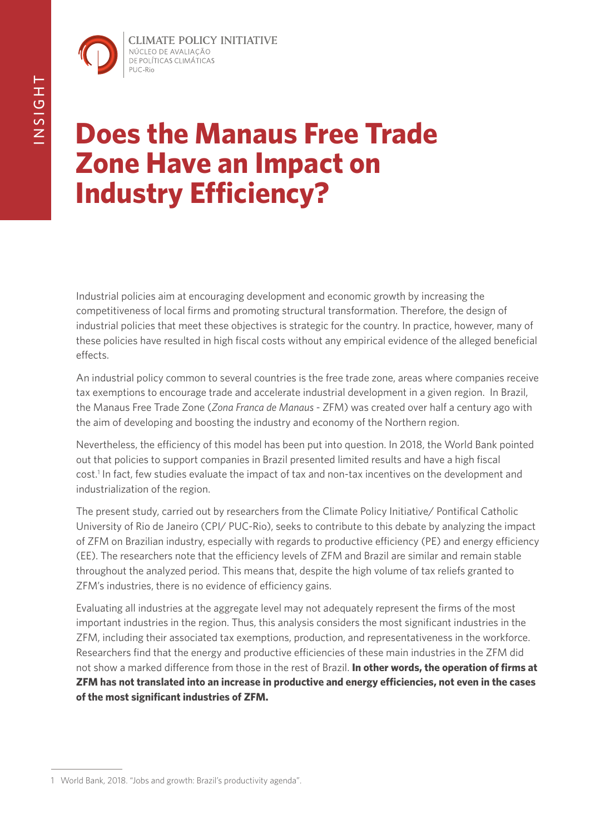**CLIMATE POLICY INITIATIVE** NÚCLEO DE AVALIAÇÃO DE POLÍTICAS CLIMÁTICAS PUC-Rio

# **Does the Manaus Free Trade Zone Have an Impact on Industry Efficiency?**

Industrial policies aim at encouraging development and economic growth by increasing the competitiveness of local firms and promoting structural transformation. Therefore, the design of industrial policies that meet these objectives is strategic for the country. In practice, however, many of these policies have resulted in high fiscal costs without any empirical evidence of the alleged beneficial effects.

An industrial policy common to several countries is the free trade zone, areas where companies receive tax exemptions to encourage trade and accelerate industrial development in a given region. In Brazil, the Manaus Free Trade Zone (*Zona Franca de Manaus* - ZFM) was created over half a century ago with the aim of developing and boosting the industry and economy of the Northern region.

Nevertheless, the efficiency of this model has been put into question. In 2018, the World Bank pointed out that policies to support companies in Brazil presented limited results and have a high fiscal cost.1 In fact, few studies evaluate the impact of tax and non-tax incentives on the development and industrialization of the region.

The present study, carried out by researchers from the Climate Policy Initiative/ Pontifical Catholic University of Rio de Janeiro (CPI/ PUC-Rio), seeks to contribute to this debate by analyzing the impact of ZFM on Brazilian industry, especially with regards to productive efficiency (PE) and energy efficiency (EE). The researchers note that the efficiency levels of ZFM and Brazil are similar and remain stable throughout the analyzed period. This means that, despite the high volume of tax reliefs granted to ZFM's industries, there is no evidence of efficiency gains.

Evaluating all industries at the aggregate level may not adequately represent the firms of the most important industries in the region. Thus, this analysis considers the most significant industries in the ZFM, including their associated tax exemptions, production, and representativeness in the workforce. Researchers find that the energy and productive efficiencies of these main industries in the ZFM did not show a marked difference from those in the rest of Brazil. **In other words, the operation of firms at ZFM has not translated into an increase in productive and energy efficiencies, not even in the cases of the most significant industries of ZFM.** 

<sup>1</sup> World Bank, 2018. "Jobs and growth: Brazil's productivity agenda".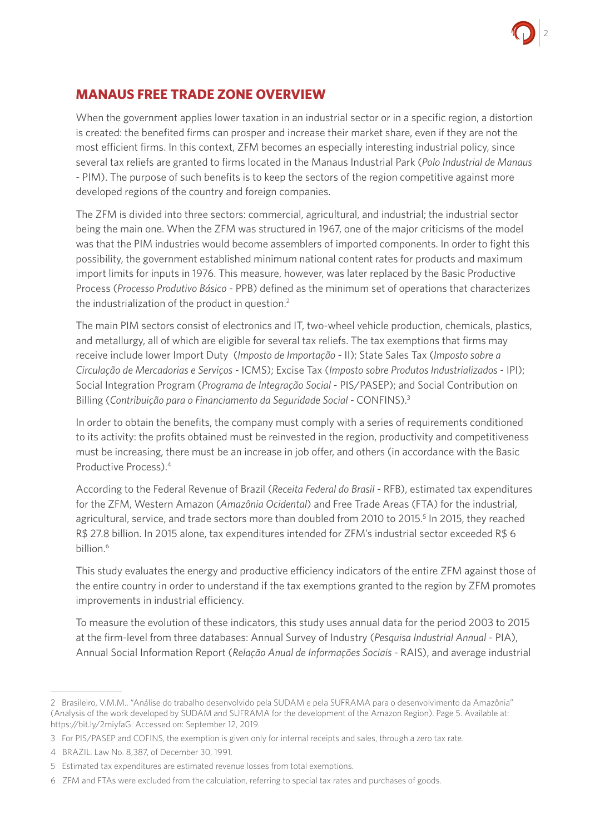

### **MANAUS FREE TRADE ZONE OVERVIEW**

When the government applies lower taxation in an industrial sector or in a specific region, a distortion is created: the benefited firms can prosper and increase their market share, even if they are not the most efficient firms. In this context, ZFM becomes an especially interesting industrial policy, since several tax reliefs are granted to firms located in the Manaus Industrial Park (*Polo Industrial de Manaus* - PIM). The purpose of such benefits is to keep the sectors of the region competitive against more developed regions of the country and foreign companies.

The ZFM is divided into three sectors: commercial, agricultural, and industrial; the industrial sector being the main one. When the ZFM was structured in 1967, one of the major criticisms of the model was that the PIM industries would become assemblers of imported components. In order to fight this possibility, the government established minimum national content rates for products and maximum import limits for inputs in 1976. This measure, however, was later replaced by the Basic Productive Process (*Processo Produtivo Básico* - PPB) defined as the minimum set of operations that characterizes the industrialization of the product in question.2

The main PIM sectors consist of electronics and IT, two-wheel vehicle production, chemicals, plastics, and metallurgy, all of which are eligible for several tax reliefs. The tax exemptions that firms may receive include lower Import Duty (*Imposto de Importação* - II); State Sales Tax (*Imposto sobre a Circulação de Mercadorias e Serviços* - ICMS); Excise Tax (*Imposto sobre Produtos Industrializados* - IPI); Social Integration Program (*Programa de Integração Social* - PIS/PASEP); and Social Contribution on Billing (*Contribuição para o Financiamento da Seguridade Social -* CONFINS).3

In order to obtain the benefits, the company must comply with a series of requirements conditioned to its activity: the profits obtained must be reinvested in the region, productivity and competitiveness must be increasing, there must be an increase in job offer, and others (in accordance with the Basic Productive Process).4

According to the Federal Revenue of Brazil (*Receita Federal do Brasil* - RFB), estimated tax expenditures for the ZFM, Western Amazon (*Amazônia Ocidental*) and Free Trade Areas (FTA) for the industrial, agricultural, service, and trade sectors more than doubled from 2010 to 2015.<sup>5</sup> In 2015, they reached R\$ 27.8 billion. In 2015 alone, tax expenditures intended for ZFM's industrial sector exceeded R\$ 6 billion.6

This study evaluates the energy and productive efficiency indicators of the entire ZFM against those of the entire country in order to understand if the tax exemptions granted to the region by ZFM promotes improvements in industrial efficiency.

To measure the evolution of these indicators, this study uses annual data for the period 2003 to 2015 at the firm-level from three databases: Annual Survey of Industry (*Pesquisa Industrial Annual* - PIA), Annual Social Information Report (*Relação Anual de Informações Sociais -* RAIS), and average industrial

<sup>2</sup> Brasileiro, V.M.M.. "Análise do trabalho desenvolvido pela SUDAM e pela SUFRAMA para o desenvolvimento da Amazônia" (Analysis of the work developed by SUDAM and SUFRAMA for the development of the Amazon Region). Page 5. Available at: https://bit.ly/2miyfaG. Accessed on: September 12, 2019.

<sup>3</sup> For PIS/PASEP and COFINS, the exemption is given only for internal receipts and sales, through a zero tax rate.

<sup>4</sup> BRAZIL. Law No. 8,387, of December 30, 1991.

<sup>5</sup> Estimated tax expenditures are estimated revenue losses from total exemptions.

<sup>6</sup> ZFM and FTAs were excluded from the calculation, referring to special tax rates and purchases of goods.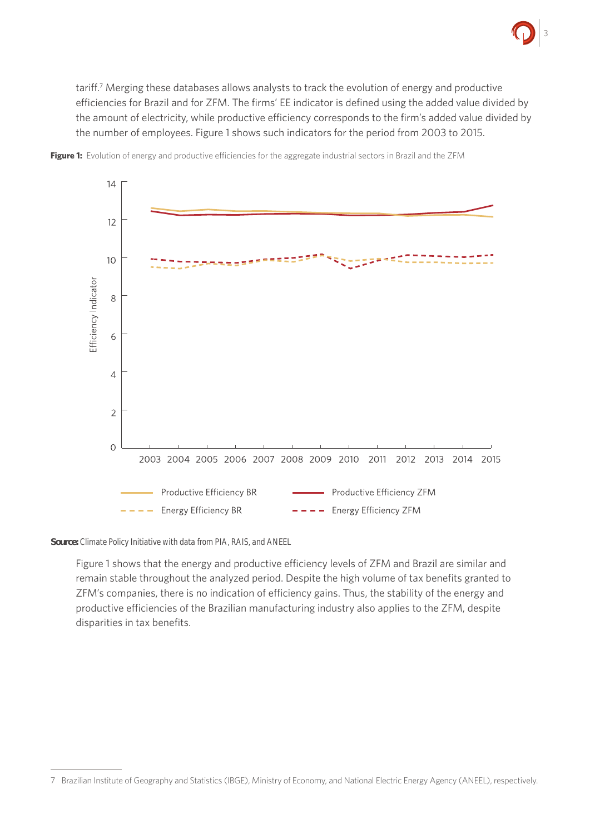

tariff.<sup>7</sup> Merging these databases allows analysts to track the evolution of energy and productive efficiencies for Brazil and for ZFM. The firms' EE indicator is defined using the added value divided by the amount of electricity, while productive efficiency corresponds to the firm's added value divided by the number of employees. Figure 1 shows such indicators for the period from 2003 to 2015.



**Figure 1:** Evolution of energy and productive efficiencies for the aggregate industrial sectors in Brazil and the ZFM

*Source: Climate Policy Initiative with data from PIA, RAIS, and ANEEL*

Figure 1 shows that the energy and productive efficiency levels of ZFM and Brazil are similar and remain stable throughout the analyzed period. Despite the high volume of tax benefits granted to ZFM's companies, there is no indication of efficiency gains. Thus, the stability of the energy and productive efficiencies of the Brazilian manufacturing industry also applies to the ZFM, despite disparities in tax benefits.

<sup>7</sup> Brazilian Institute of Geography and Statistics (IBGE), Ministry of Economy, and National Electric Energy Agency (ANEEL), respectively.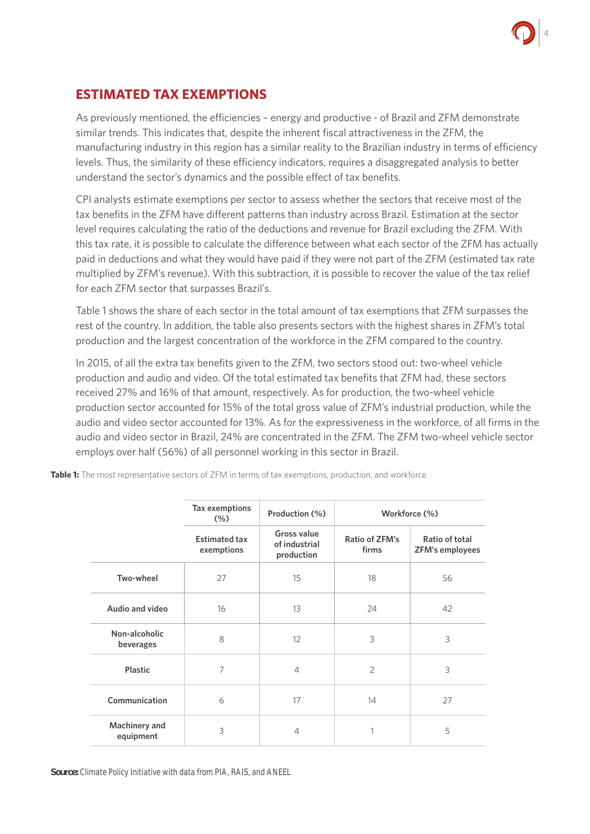

### **ESTIMATED TAX EXEMPTIONS**

As previously mentioned, the efficiencies – energy and productive - of Brazil and ZFM demonstrate similar trends. This indicates that, despite the inherent fiscal attractiveness in the ZFM, the manufacturing industry in this region has a similar reality to the Brazilian industry in terms of efficiency levels. Thus, the similarity of these efficiency indicators, requires a disaggregated analysis to better understand the sector's dynamics and the possible effect of tax benefits.

CPI analysts estimate exemptions per sector to assess whether the sectors that receive most of the tax benefits in the ZFM have different patterns than industry across Brazil. Estimation at the sector level requires calculating the ratio of the deductions and revenue for Brazil excluding the ZFM. With this tax rate, it is possible to calculate the difference between what each sector of the ZFM has actually paid in deductions and what they would have paid if they were not part of the ZFM (estimated tax rate multiplied by ZFM's revenue). With this subtraction, it is possible to recover the value of the tax relief for each ZFM sector that surpasses Brazil's.

Table 1 shows the share of each sector in the total amount of tax exemptions that ZFM surpasses the rest of the country. In addition, the table also presents sectors with the highest shares in ZFM's total production and the largest concentration of the workforce in the ZFM compared to the country.

In 2015, of all the extra tax benefits given to the ZFM, two sectors stood out: two-wheel vehicle production and audio and video. Of the total estimated tax benefits that ZFM had, these sectors received 27% and 16% of that amount, respectively. As for production, the two-wheel vehicle production sector accounted for 15% of the total gross value of ZFM's industrial production, while the audio and video sector accounted for 13%. As for the expressiveness in the workforce, of all firms in the audio and video sector in Brazil, 24% are concentrated in the ZFM. The ZFM two-wheel vehicle sector employs over half (56%) of all personnel working in this sector in Brazil.

|                            | Tax exemptions<br>(% )             | Production (%)                             | Workforce (%)           |                                          |
|----------------------------|------------------------------------|--------------------------------------------|-------------------------|------------------------------------------|
|                            | <b>Estimated tax</b><br>exemptions | Gross value<br>of industrial<br>production | Ratio of ZFM's<br>firms | Ratio of total<br><b>ZFM's employees</b> |
| Two-wheel                  | 27                                 | 15                                         | 18                      | 56                                       |
| Audio and video            | 16                                 | 13                                         | 24                      | 42                                       |
| Non-alcoholic<br>beverages | 8                                  | $12 \overline{ }$                          | 3                       | 3                                        |
| <b>Plastic</b>             | 7                                  | $\overline{4}$                             | $\overline{2}$          | 3                                        |
| Communication              | 6                                  | 17                                         | 14                      | 27                                       |
| Machinery and<br>equipment | 3                                  | $\overline{4}$                             | 1                       | 5                                        |

**Table 1:** The most representative sectors of ZFM in terms of tax exemptions, production, and workforce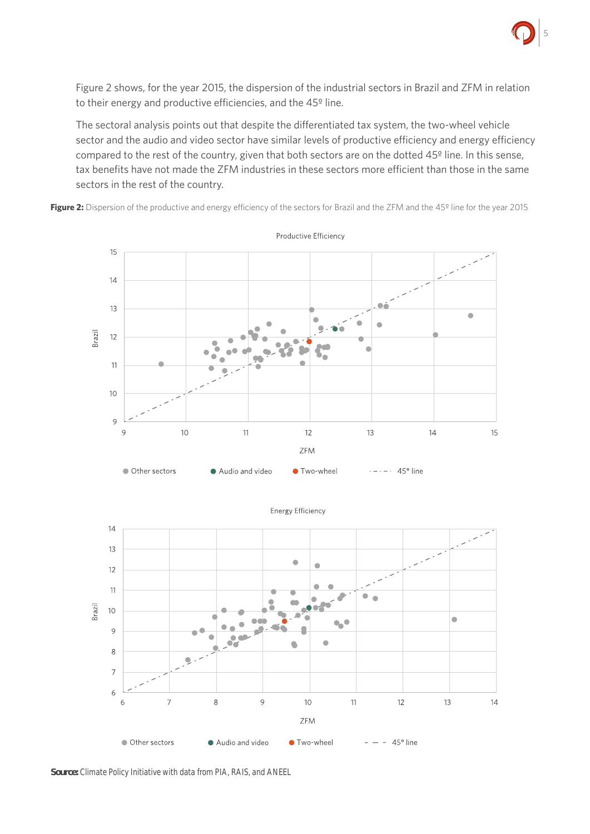

Figure 2 shows, for the year 2015, the dispersion of the industrial sectors in Brazil and ZFM in relation to their energy and productive efficiencies, and the 45º line.

The sectoral analysis points out that despite the differentiated tax system, the two-wheel vehicle sector and the audio and video sector have similar levels of productive efficiency and energy efficiency compared to the rest of the country, given that both sectors are on the dotted 45º line. In this sense, tax benefits have not made the ZFM industries in these sectors more efficient than those in the same sectors in the rest of the country.

Figure 2: Dispersion of the productive and energy efficiency of the sectors for Brazil and the ZFM and the 45<sup>°</sup> line for the year 2015





**Energy Efficiency** 

*Source: Climate Policy Initiative with data from PIA, RAIS, and ANEEL*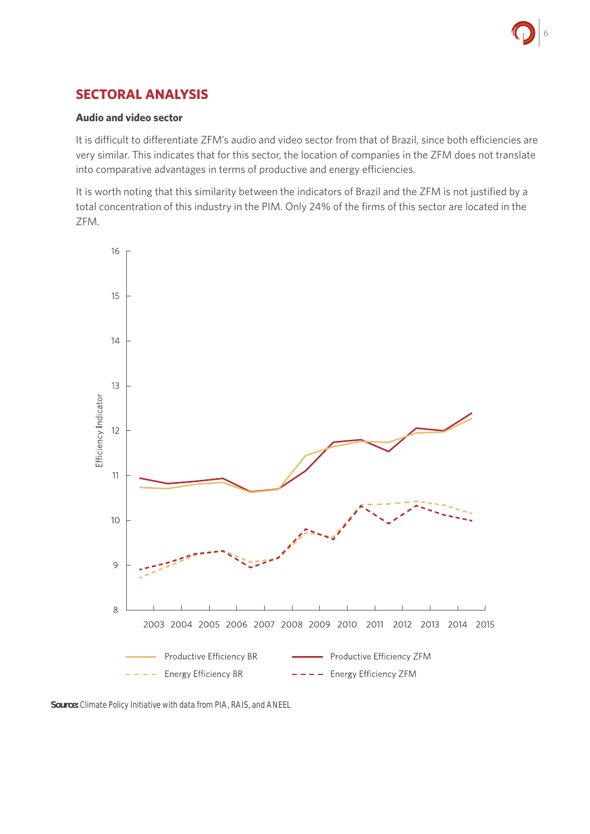### **SECTORAL ANALYSIS**

### **Audio and video sector**

It is difficult to differentiate ZFM's audio and video sector from that of Brazil, since both efficiencies are very similar. This indicates that for this sector, the location of companies in the ZFM does not translate into comparative advantages in terms of productive and energy efficiencies.

It is worth noting that this similarity between the indicators of Brazil and the ZFM is not justified by a total concentration of this industry in the PIM. Only 24% of the firms of this sector are located in the ZFM.



*Source: Climate Policy Initiative with data from PIA, RAIS, and ANEEL*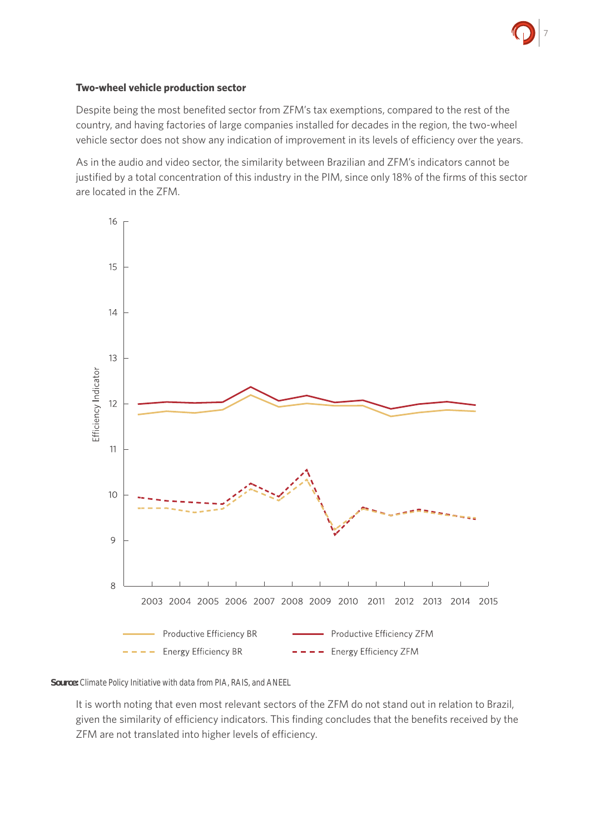

### **Two-wheel vehicle production sector**

Despite being the most benefited sector from ZFM's tax exemptions, compared to the rest of the country, and having factories of large companies installed for decades in the region, the two-wheel vehicle sector does not show any indication of improvement in its levels of efficiency over the years.

As in the audio and video sector, the similarity between Brazilian and ZFM's indicators cannot be justified by a total concentration of this industry in the PIM, since only 18% of the firms of this sector are located in the ZFM.



#### *Source: Climate Policy Initiative with data from PIA, RAIS, and ANEEL*

It is worth noting that even most relevant sectors of the ZFM do not stand out in relation to Brazil, given the similarity of efficiency indicators. This finding concludes that the benefits received by the ZFM are not translated into higher levels of efficiency.